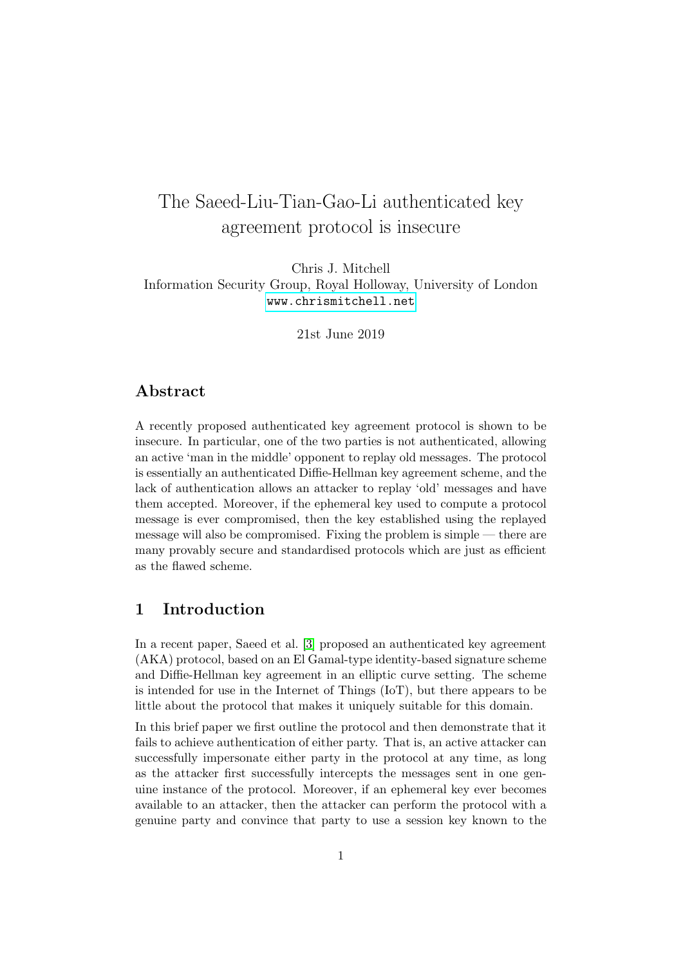# The Saeed-Liu-Tian-Gao-Li authenticated key agreement protocol is insecure

Chris J. Mitchell Information Security Group, Royal Holloway, University of London <www.chrismitchell.net>

21st June 2019

#### Abstract

A recently proposed authenticated key agreement protocol is shown to be insecure. In particular, one of the two parties is not authenticated, allowing an active 'man in the middle' opponent to replay old messages. The protocol is essentially an authenticated Diffie-Hellman key agreement scheme, and the lack of authentication allows an attacker to replay 'old' messages and have them accepted. Moreover, if the ephemeral key used to compute a protocol message is ever compromised, then the key established using the replayed message will also be compromised. Fixing the problem is simple — there are many provably secure and standardised protocols which are just as efficient as the flawed scheme.

## <span id="page-0-0"></span>1 Introduction

In a recent paper, Saeed et al. [\[3\]](#page-4-0) proposed an authenticated key agreement (AKA) protocol, based on an El Gamal-type identity-based signature scheme and Diffie-Hellman key agreement in an elliptic curve setting. The scheme is intended for use in the Internet of Things (IoT), but there appears to be little about the protocol that makes it uniquely suitable for this domain.

In this brief paper we first outline the protocol and then demonstrate that it fails to achieve authentication of either party. That is, an active attacker can successfully impersonate either party in the protocol at any time, as long as the attacker first successfully intercepts the messages sent in one genuine instance of the protocol. Moreover, if an ephemeral key ever becomes available to an attacker, then the attacker can perform the protocol with a genuine party and convince that party to use a session key known to the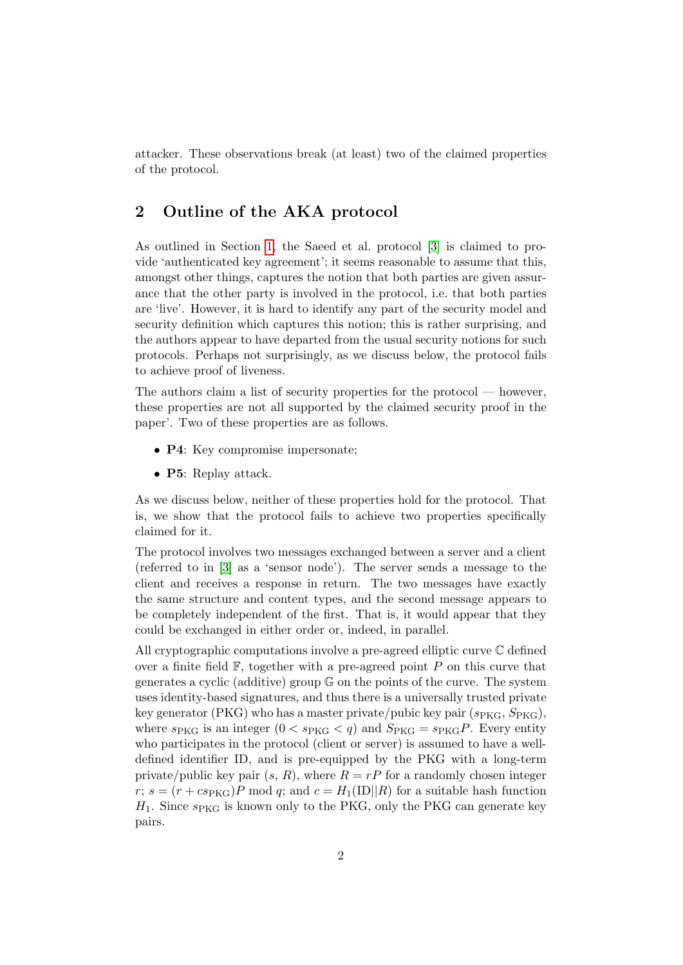attacker. These observations break (at least) two of the claimed properties of the protocol.

# 2 Outline of the AKA protocol

As outlined in Section [1,](#page-0-0) the Saeed et al. protocol [\[3\]](#page-4-0) is claimed to provide 'authenticated key agreement'; it seems reasonable to assume that this, amongst other things, captures the notion that both parties are given assurance that the other party is involved in the protocol, i.e. that both parties are 'live'. However, it is hard to identify any part of the security model and security definition which captures this notion; this is rather surprising, and the authors appear to have departed from the usual security notions for such protocols. Perhaps not surprisingly, as we discuss below, the protocol fails to achieve proof of liveness.

The authors claim a list of security properties for the protocol — however, these properties are not all supported by the claimed security proof in the paper'. Two of these properties are as follows.

- **P4**: Key compromise impersonate;
- P5: Replay attack.

As we discuss below, neither of these properties hold for the protocol. That is, we show that the protocol fails to achieve two properties specifically claimed for it.

The protocol involves two messages exchanged between a server and a client (referred to in [\[3\]](#page-4-0) as a 'sensor node'). The server sends a message to the client and receives a response in return. The two messages have exactly the same structure and content types, and the second message appears to be completely independent of the first. That is, it would appear that they could be exchanged in either order or, indeed, in parallel.

All cryptographic computations involve a pre-agreed elliptic curve C defined over a finite field  $\mathbb{F}$ , together with a pre-agreed point P on this curve that generates a cyclic (additive) group G on the points of the curve. The system uses identity-based signatures, and thus there is a universally trusted private key generator (PKG) who has a master private/pubic key pair  $(s_{PKG}, S_{PKG})$ , where  $s_{PKG}$  is an integer  $(0 < s_{PKG} < q)$  and  $S_{PKG} = s_{PKG}P$ . Every entity who participates in the protocol (client or server) is assumed to have a welldefined identifier ID, and is pre-equipped by the PKG with a long-term private/public key pair  $(s, R)$ , where  $R = rP$  for a randomly chosen integer r;  $s = (r + c s_{PKG})P$  mod q; and  $c = H_1(ID||R)$  for a suitable hash function  $H_1$ . Since  $s_{PKG}$  is known only to the PKG, only the PKG can generate key pairs.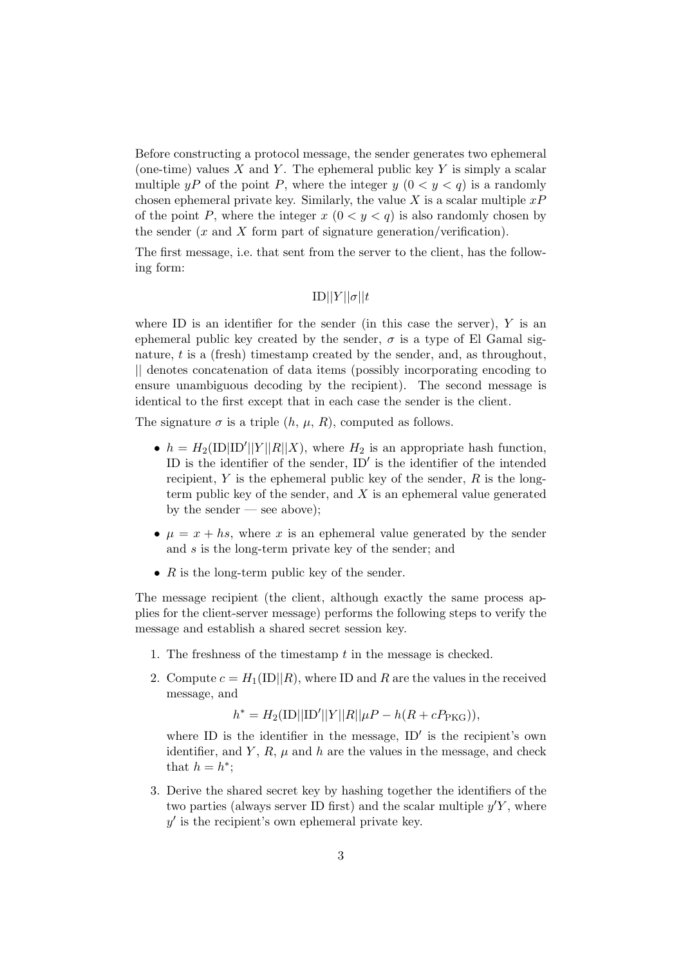Before constructing a protocol message, the sender generates two ephemeral (one-time) values X and Y. The ephemeral public key Y is simply a scalar multiple yP of the point P, where the integer y  $(0 < y < q)$  is a randomly chosen ephemeral private key. Similarly, the value X is a scalar multiple  $xP$ of the point P, where the integer  $x (0 \lt y \lt q)$  is also randomly chosen by the sender  $(x \text{ and } X \text{ form part of signature generation}/\text{ verification}).$ 

The first message, i.e. that sent from the server to the client, has the following form:

$$
ID||Y||\sigma||t
$$

where ID is an identifier for the sender (in this case the server),  $Y$  is an ephemeral public key created by the sender,  $\sigma$  is a type of El Gamal signature, t is a (fresh) timestamp created by the sender, and, as throughout, || denotes concatenation of data items (possibly incorporating encoding to ensure unambiguous decoding by the recipient). The second message is identical to the first except that in each case the sender is the client.

The signature  $\sigma$  is a triple  $(h, \mu, R)$ , computed as follows.

- $h = H_2(1D|1D'||Y||R||X)$ , where  $H_2$  is an appropriate hash function, ID is the identifier of the sender,  $ID'$  is the identifier of the intended recipient, Y is the ephemeral public key of the sender,  $R$  is the longterm public key of the sender, and  $X$  is an ephemeral value generated by the sender — see above);
- $\mu = x + hs$ , where x is an ephemeral value generated by the sender and s is the long-term private key of the sender; and
- $R$  is the long-term public key of the sender.

The message recipient (the client, although exactly the same process applies for the client-server message) performs the following steps to verify the message and establish a shared secret session key.

- 1. The freshness of the timestamp t in the message is checked.
- 2. Compute  $c = H_1(ID||R)$ , where ID and R are the values in the received message, and

 $h^* = H_2(1D||1D'||Y||R||\mu P - h(R + cP_{PKG})),$ 

where ID is the identifier in the message,  $ID'$  is the recipient's own identifier, and Y, R,  $\mu$  and h are the values in the message, and check that  $h = h^*$ ;

3. Derive the shared secret key by hashing together the identifiers of the two parties (always server ID first) and the scalar multiple  $y'Y$ , where  $y'$  is the recipient's own ephemeral private key.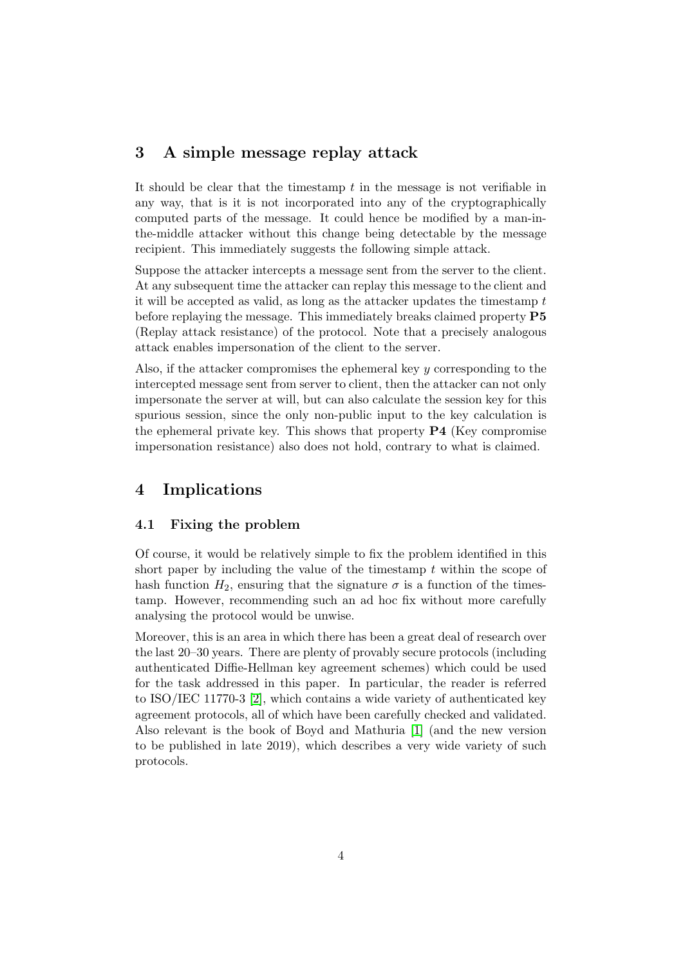### 3 A simple message replay attack

It should be clear that the timestamp  $t$  in the message is not verifiable in any way, that is it is not incorporated into any of the cryptographically computed parts of the message. It could hence be modified by a man-inthe-middle attacker without this change being detectable by the message recipient. This immediately suggests the following simple attack.

Suppose the attacker intercepts a message sent from the server to the client. At any subsequent time the attacker can replay this message to the client and it will be accepted as valid, as long as the attacker updates the timestamp t before replaying the message. This immediately breaks claimed property P5 (Replay attack resistance) of the protocol. Note that a precisely analogous attack enables impersonation of the client to the server.

Also, if the attacker compromises the ephemeral key y corresponding to the intercepted message sent from server to client, then the attacker can not only impersonate the server at will, but can also calculate the session key for this spurious session, since the only non-public input to the key calculation is the ephemeral private key. This shows that property P4 (Key compromise impersonation resistance) also does not hold, contrary to what is claimed.

# 4 Implications

#### 4.1 Fixing the problem

Of course, it would be relatively simple to fix the problem identified in this short paper by including the value of the timestamp  $t$  within the scope of hash function  $H_2$ , ensuring that the signature  $\sigma$  is a function of the timestamp. However, recommending such an ad hoc fix without more carefully analysing the protocol would be unwise.

Moreover, this is an area in which there has been a great deal of research over the last 20–30 years. There are plenty of provably secure protocols (including authenticated Diffie-Hellman key agreement schemes) which could be used for the task addressed in this paper. In particular, the reader is referred to ISO/IEC 11770-3 [\[2\]](#page-4-1), which contains a wide variety of authenticated key agreement protocols, all of which have been carefully checked and validated. Also relevant is the book of Boyd and Mathuria [\[1\]](#page-4-2) (and the new version to be published in late 2019), which describes a very wide variety of such protocols.